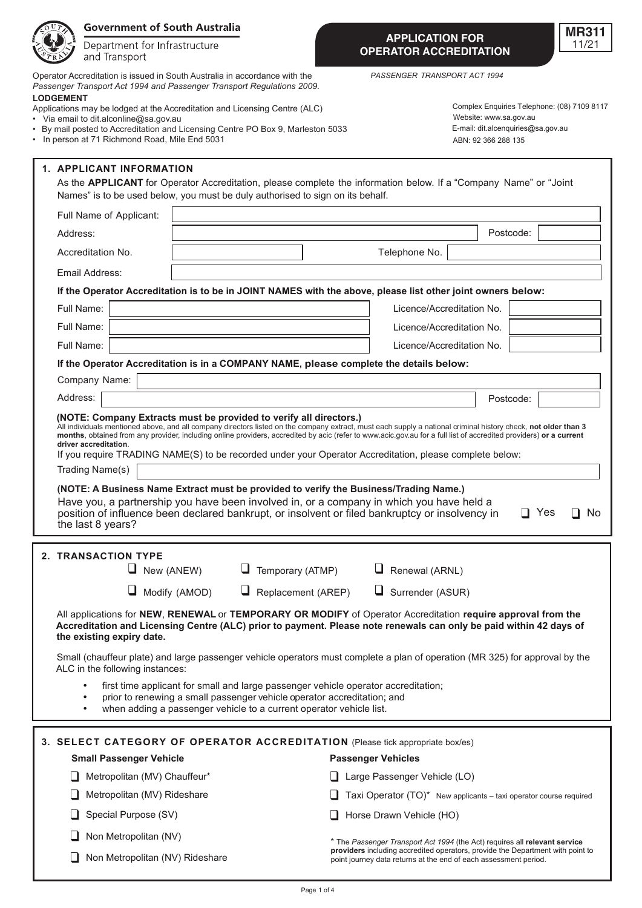|                                                                               | <b>Government of South Australia</b>                                                                                                                                                                                                                                                                                                                                                                                                                                                        |                                                                                                                                                                                                                                                                                      |  |                                                                                                                                                                                                                                  |                                                                                     |                 | <b>MR311</b>                                |  |
|-------------------------------------------------------------------------------|---------------------------------------------------------------------------------------------------------------------------------------------------------------------------------------------------------------------------------------------------------------------------------------------------------------------------------------------------------------------------------------------------------------------------------------------------------------------------------------------|--------------------------------------------------------------------------------------------------------------------------------------------------------------------------------------------------------------------------------------------------------------------------------------|--|----------------------------------------------------------------------------------------------------------------------------------------------------------------------------------------------------------------------------------|-------------------------------------------------------------------------------------|-----------------|---------------------------------------------|--|
|                                                                               | Department for Infrastructure<br>and Transport                                                                                                                                                                                                                                                                                                                                                                                                                                              |                                                                                                                                                                                                                                                                                      |  | <b>APPLICATION FOR</b><br><b>OPERATOR ACCREDITATION</b>                                                                                                                                                                          |                                                                                     |                 | 11/21                                       |  |
| <b>LODGEMENT</b>                                                              |                                                                                                                                                                                                                                                                                                                                                                                                                                                                                             | Operator Accreditation is issued in South Australia in accordance with the<br>Passenger Transport Act 1994 and Passenger Transport Regulations 2009.<br>Applications may be lodged at the Accreditation and Licensing Centre (ALC)                                                   |  | PASSENGER TRANSPORT ACT 1994                                                                                                                                                                                                     |                                                                                     |                 | Complex Enquiries Telephone: (08) 7109 8117 |  |
|                                                                               | Via email to dit alconline@sa.gov.au<br>• In person at 71 Richmond Road, Mile End 5031                                                                                                                                                                                                                                                                                                                                                                                                      | By mail posted to Accreditation and Licensing Centre PO Box 9, Marleston 5033                                                                                                                                                                                                        |  |                                                                                                                                                                                                                                  | Website: www.sa.gov.au<br>E-mail: dit.alcenquiries@sa.gov.au<br>ABN: 92 366 288 135 |                 |                                             |  |
|                                                                               | <b>1. APPLICANT INFORMATION</b>                                                                                                                                                                                                                                                                                                                                                                                                                                                             | As the APPLICANT for Operator Accreditation, please complete the information below. If a "Company Name" or "Joint<br>Names" is to be used below, you must be duly authorised to sign on its behalf.                                                                                  |  |                                                                                                                                                                                                                                  |                                                                                     |                 |                                             |  |
|                                                                               | Full Name of Applicant:                                                                                                                                                                                                                                                                                                                                                                                                                                                                     |                                                                                                                                                                                                                                                                                      |  |                                                                                                                                                                                                                                  |                                                                                     |                 |                                             |  |
| Address:                                                                      |                                                                                                                                                                                                                                                                                                                                                                                                                                                                                             |                                                                                                                                                                                                                                                                                      |  |                                                                                                                                                                                                                                  |                                                                                     | Postcode:       |                                             |  |
|                                                                               | Accreditation No.                                                                                                                                                                                                                                                                                                                                                                                                                                                                           |                                                                                                                                                                                                                                                                                      |  | Telephone No.                                                                                                                                                                                                                    |                                                                                     |                 |                                             |  |
|                                                                               | Email Address:                                                                                                                                                                                                                                                                                                                                                                                                                                                                              |                                                                                                                                                                                                                                                                                      |  |                                                                                                                                                                                                                                  |                                                                                     |                 |                                             |  |
|                                                                               |                                                                                                                                                                                                                                                                                                                                                                                                                                                                                             | If the Operator Accreditation is to be in JOINT NAMES with the above, please list other joint owners below:                                                                                                                                                                          |  |                                                                                                                                                                                                                                  |                                                                                     |                 |                                             |  |
|                                                                               | Full Name:                                                                                                                                                                                                                                                                                                                                                                                                                                                                                  |                                                                                                                                                                                                                                                                                      |  | Licence/Accreditation No.                                                                                                                                                                                                        |                                                                                     |                 |                                             |  |
|                                                                               | Full Name:                                                                                                                                                                                                                                                                                                                                                                                                                                                                                  |                                                                                                                                                                                                                                                                                      |  | Licence/Accreditation No.                                                                                                                                                                                                        |                                                                                     |                 |                                             |  |
|                                                                               | Full Name:                                                                                                                                                                                                                                                                                                                                                                                                                                                                                  |                                                                                                                                                                                                                                                                                      |  | Licence/Accreditation No.                                                                                                                                                                                                        |                                                                                     |                 |                                             |  |
|                                                                               |                                                                                                                                                                                                                                                                                                                                                                                                                                                                                             | If the Operator Accreditation is in a COMPANY NAME, please complete the details below:                                                                                                                                                                                               |  |                                                                                                                                                                                                                                  |                                                                                     |                 |                                             |  |
|                                                                               | Company Name:                                                                                                                                                                                                                                                                                                                                                                                                                                                                               |                                                                                                                                                                                                                                                                                      |  |                                                                                                                                                                                                                                  |                                                                                     |                 |                                             |  |
| Address:                                                                      |                                                                                                                                                                                                                                                                                                                                                                                                                                                                                             |                                                                                                                                                                                                                                                                                      |  |                                                                                                                                                                                                                                  |                                                                                     | Postcode:       |                                             |  |
|                                                                               | All individuals mentioned above, and all company directors listed on the company extract, must each supply a national criminal history check, not older than 3<br>months, obtained from any provider, including online providers, accredited by acic (refer to www.acic.gov.au for a full list of accredited providers) or a current<br>driver accreditation.<br>If you require TRADING NAME(S) to be recorded under your Operator Accreditation, please complete below:<br>Trading Name(s) |                                                                                                                                                                                                                                                                                      |  |                                                                                                                                                                                                                                  |                                                                                     |                 |                                             |  |
|                                                                               | the last 8 years?                                                                                                                                                                                                                                                                                                                                                                                                                                                                           | (NOTE: A Business Name Extract must be provided to verify the Business/Trading Name.)<br>Have you, a partnership you have been involved in, or a company in which you have held a<br>position of influence been declared bankrupt, or insolvent or filed bankruptcy or insolvency in |  |                                                                                                                                                                                                                                  |                                                                                     | Yes<br>$\sqcup$ | No                                          |  |
|                                                                               | 2. TRANSACTION TYPE                                                                                                                                                                                                                                                                                                                                                                                                                                                                         |                                                                                                                                                                                                                                                                                      |  |                                                                                                                                                                                                                                  |                                                                                     |                 |                                             |  |
|                                                                               | $\Box$ New (ANEW)                                                                                                                                                                                                                                                                                                                                                                                                                                                                           | $\Box$ Temporary (ATMP)                                                                                                                                                                                                                                                              |  | $\Box$ Renewal (ARNL)                                                                                                                                                                                                            |                                                                                     |                 |                                             |  |
|                                                                               |                                                                                                                                                                                                                                                                                                                                                                                                                                                                                             | $\Box$ Modify (AMOD)<br>$\Box$ Replacement (AREP)                                                                                                                                                                                                                                    |  | $\Box$ Surrender (ASUR)                                                                                                                                                                                                          |                                                                                     |                 |                                             |  |
|                                                                               | the existing expiry date.                                                                                                                                                                                                                                                                                                                                                                                                                                                                   | All applications for NEW, RENEWAL or TEMPORARY OR MODIFY of Operator Accreditation require approval from the<br>Accreditation and Licensing Centre (ALC) prior to payment. Please note renewals can only be paid within 42 days of                                                   |  |                                                                                                                                                                                                                                  |                                                                                     |                 |                                             |  |
|                                                                               | Small (chauffeur plate) and large passenger vehicle operators must complete a plan of operation (MR 325) for approval by the<br>ALC in the following instances:                                                                                                                                                                                                                                                                                                                             |                                                                                                                                                                                                                                                                                      |  |                                                                                                                                                                                                                                  |                                                                                     |                 |                                             |  |
|                                                                               |                                                                                                                                                                                                                                                                                                                                                                                                                                                                                             | first time applicant for small and large passenger vehicle operator accreditation;<br>prior to renewing a small passenger vehicle operator accreditation; and<br>when adding a passenger vehicle to a current operator vehicle list.                                                 |  |                                                                                                                                                                                                                                  |                                                                                     |                 |                                             |  |
| 3. SELECT CATEGORY OF OPERATOR ACCREDITATION (Please tick appropriate box/es) |                                                                                                                                                                                                                                                                                                                                                                                                                                                                                             |                                                                                                                                                                                                                                                                                      |  |                                                                                                                                                                                                                                  |                                                                                     |                 |                                             |  |
|                                                                               | <b>Small Passenger Vehicle</b><br><b>Passenger Vehicles</b>                                                                                                                                                                                                                                                                                                                                                                                                                                 |                                                                                                                                                                                                                                                                                      |  |                                                                                                                                                                                                                                  |                                                                                     |                 |                                             |  |
|                                                                               | Metropolitan (MV) Chauffeur*                                                                                                                                                                                                                                                                                                                                                                                                                                                                |                                                                                                                                                                                                                                                                                      |  | Large Passenger Vehicle (LO)                                                                                                                                                                                                     |                                                                                     |                 |                                             |  |
|                                                                               | Metropolitan (MV) Rideshare                                                                                                                                                                                                                                                                                                                                                                                                                                                                 |                                                                                                                                                                                                                                                                                      |  | Taxi Operator (TO)* New applicants - taxi operator course required                                                                                                                                                               |                                                                                     |                 |                                             |  |
|                                                                               | Special Purpose (SV)                                                                                                                                                                                                                                                                                                                                                                                                                                                                        |                                                                                                                                                                                                                                                                                      |  | Horse Drawn Vehicle (HO)                                                                                                                                                                                                         |                                                                                     |                 |                                             |  |
|                                                                               | Non Metropolitan (NV)                                                                                                                                                                                                                                                                                                                                                                                                                                                                       |                                                                                                                                                                                                                                                                                      |  |                                                                                                                                                                                                                                  |                                                                                     |                 |                                             |  |
|                                                                               | Non Metropolitan (NV) Rideshare                                                                                                                                                                                                                                                                                                                                                                                                                                                             |                                                                                                                                                                                                                                                                                      |  | * The Passenger Transport Act 1994 (the Act) requires all relevant service<br>providers including accredited operators, provide the Department with point to<br>point journey data returns at the end of each assessment period. |                                                                                     |                 |                                             |  |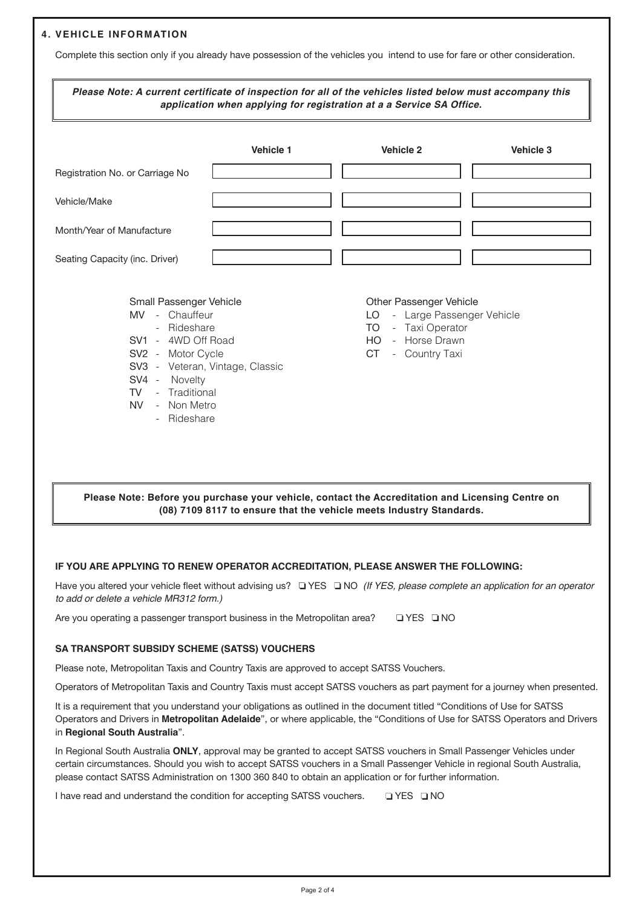# **4. VEHICLE INFORMATION**

Complete this section only if you already have possession of the vehicles you intend to use for fare or other consideration.

|                                                                                                                                                                                                                                  | Vehicle 1 | <b>Vehicle 2</b>                                                                                                                                                 | <b>Vehicle 3</b> |
|----------------------------------------------------------------------------------------------------------------------------------------------------------------------------------------------------------------------------------|-----------|------------------------------------------------------------------------------------------------------------------------------------------------------------------|------------------|
| Registration No. or Carriage No                                                                                                                                                                                                  |           |                                                                                                                                                                  |                  |
| Vehicle/Make                                                                                                                                                                                                                     |           |                                                                                                                                                                  |                  |
| Month/Year of Manufacture                                                                                                                                                                                                        |           |                                                                                                                                                                  |                  |
| Seating Capacity (inc. Driver)                                                                                                                                                                                                   |           |                                                                                                                                                                  |                  |
| Small Passenger Vehicle<br>MV - Chauffeur<br>- Rideshare<br>SV1 - 4WD Off Road<br>SV2 - Motor Cycle<br>SV3 - Veteran, Vintage, Classic<br>SV4 - Novelty<br>- Traditional<br><b>TV</b><br>- Non Metro<br><b>NV</b><br>- Rideshare |           | Other Passenger Vehicle<br>- Large Passenger Vehicle<br>LO.<br>- Taxi Operator<br><b>TO</b><br>- Horse Drawn<br><b>HO</b><br><b>CT</b><br>Country Taxi<br>$\sim$ |                  |

**Pore you purchase your vehicle, contact the Accreditation and Licensing Centre on (08) 7109 8117 to ensure that the vehicle meets Industry Standards.**

## **IF YOU ARE APPLYING TO RENEW OPERATOR ACCREDITATION, PLEASE ANSWER THE FOLLOWING:**

Have you altered your vehicle fleet without advising us? No *(If YES, please complete an application for an operator to add or delete a vehicle MR312 form.)*

Are you operating a passenger transport business in the Metropolitan area?  $\Box$  YES  $\Box$  NO

## **SA TRANSPORT SUBSIDY SCHEME (SATSS) VOUCHERS**

Please note, Metropolitan Taxis and Country Taxis are approved to accept SATSS Vouchers.

Operators of Metropolitan Taxis and Country Taxis must accept SATSS vouchers as part payment for a journey when presented.

It is a requirement that you understand your obligations as outlined in the document titled "Conditions of Use for SATSS Operators and Drivers in **Metropolitan Adelaide**", or where applicable, the "Conditions of Use for SATSS Operators and Drivers in **Regional South Australia**".

In Regional South Australia **ONLY**, approval may be granted to accept SATSS vouchers in Small Passenger Vehicles under certain circumstances. Should you wish to accept SATSS vouchers in a Small Passenger Vehicle in regional South Australia, please contact SATSS Administration on 1300 360 840 to obtain an application or for further information.

I have read and understand the condition for accepting SATSS vouchers.  $\square$  YES  $\square$  NO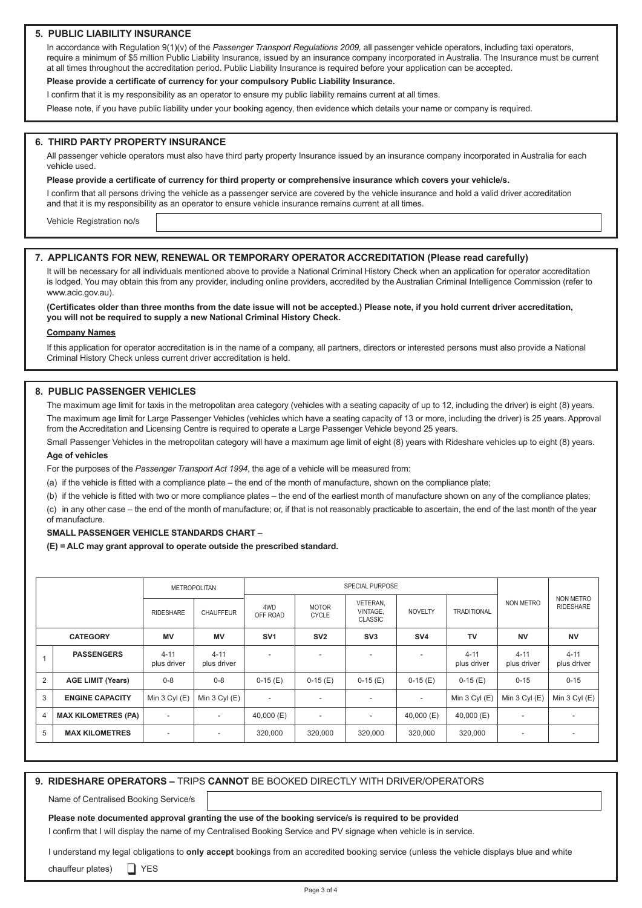## **5. PUBLIC LIABILITY INSURANCE**

In accordance with Regulation 9(1)(v) of the *Passenger Transport Regulations 2009,* all passenger vehicle operators, including taxi operators, require a minimum of \$5 million Public Liability Insurance, issued by an insurance company incorporated in Australia. The Insurance must be current at all times throughout the accreditation period. Public Liability Insurance is required before your application can be accepted.

#### **Please provide a certificate of currency for your compulsory Public Liability Insurance.**

I confirm that it is my responsibility as an operator to ensure my public liability remains current at all times.

Please note, if you have public liability under your booking agency, then evidence which details your name or company is required.

#### **6. THIRD PARTY PROPERTY INSURANCE**

All passenger vehicle operators must also have third party property Insurance issued by an insurance company incorporated in Australia for each vehicle used.

**Please provide a certificate of currency for third property or comprehensive insurance which covers your vehicle/s.**

I confirm that all persons driving the vehicle as a passenger service are covered by the vehicle insurance and hold a valid driver accreditation and that it is my responsibility as an operator to ensure vehicle insurance remains current at all times.

Vehicle Registration no/s

#### **7. APPLICANTS FOR NEW, RENEWAL OR TEMPORARY OPERATOR ACCREDITATION (Please read carefully)**

It will be necessary for all individuals mentioned above to provide a National Criminal History Check when an application for operator accreditation is lodged. You may obtain this from any provider, including online providers, accredited by the Australian Criminal Intelligence Commission (refer to www.acic.gov.au).

#### **(Certificates older than three months from the date issue will not be accepted.) Please note, if you hold current driver accreditation, you will not be required to supply a new National Criminal History Check.**

#### **Company Names**

If this application for operator accreditation is in the name of a company, all partners, directors or interested persons must also provide a National Criminal History Check unless current driver accreditation is held.

## **8. PUBLIC PASSENGER VEHICLES**

The maximum age limit for taxis in the metropolitan area category (vehicles with a seating capacity of up to 12, including the driver) is eight (8) years. The maximum age limit for Large Passenger Vehicles (vehicles which have a seating capacity of 13 or more, including the driver) is 25 years. Approval from the Accreditation and Licensing Centre is required to operate a Large Passenger Vehicle beyond 25 years.

Small Passenger Vehicles in the metropolitan category will have a maximum age limit of eight (8) years with Rideshare vehicles up to eight (8) years. **Age of vehicles**

For the purposes of the *Passenger Transport Act 1994*, the age of a vehicle will be measured from:

(a) if the vehicle is fitted with a compliance plate – the end of the month of manufacture, shown on the compliance plate;

(b) if the vehicle is fitted with two or more compliance plates – the end of the earliest month of manufacture shown on any of the compliance plates;

(c) in any other case – the end of the month of manufacture; or, if that is not reasonably practicable to ascertain, the end of the last month of the year of manufacture.

#### **SMALL PASSENGER VEHICLE STANDARDS CHART** –

**(E) = ALC may grant approval to operate outside the prescribed standard.**

|                 |                            | <b>METROPOLITAN</b>      |                          | <b>SPECIAL PURPOSE</b>   |                              |                                        |                          |                         |                          |                                      |
|-----------------|----------------------------|--------------------------|--------------------------|--------------------------|------------------------------|----------------------------------------|--------------------------|-------------------------|--------------------------|--------------------------------------|
|                 |                            | <b>RIDESHARE</b>         | <b>CHAUFFEUR</b>         | 4WD<br>OFF ROAD          | <b>MOTOR</b><br><b>CYCLE</b> | VETERAN,<br>VINTAGE,<br><b>CLASSIC</b> | <b>NOVELTY</b>           | <b>TRADITIONAL</b>      | NON METRO                | <b>NON METRO</b><br><b>RIDESHARE</b> |
| <b>CATEGORY</b> |                            | MV                       | <b>MV</b>                | SV <sub>1</sub>          | SV <sub>2</sub>              | SV <sub>3</sub>                        | SV <sub>4</sub>          | TV                      | <b>NV</b>                | <b>NV</b>                            |
|                 | <b>PASSENGERS</b>          | $4 - 11$<br>plus driver  | $4 - 11$<br>plus driver  | $\overline{\phantom{a}}$ |                              | $\overline{\phantom{a}}$               | $\overline{\phantom{a}}$ | $4 - 11$<br>plus driver | $4 - 11$<br>plus driver  | $4 - 11$<br>plus driver              |
| 2               | <b>AGE LIMIT (Years)</b>   | $0 - 8$                  | $0 - 8$                  | $0-15(E)$                | $0-15(E)$                    | $0-15(E)$                              | $0-15(E)$                | $0-15(E)$               | $0 - 15$                 | $0 - 15$                             |
| 3               | <b>ENGINE CAPACITY</b>     | Min $3$ Cyl $(E)$        | Min $3$ Cyl $(E)$        | $\overline{\phantom{a}}$ |                              | $\overline{\phantom{a}}$               | $\overline{\phantom{a}}$ | Min $3$ Cyl $(E)$       | Min $3$ Cyl $(E)$        | Min $3$ Cyl $(E)$                    |
| $\overline{4}$  | <b>MAX KILOMETRES (PA)</b> | $\overline{\phantom{a}}$ | $\overline{\phantom{a}}$ | 40,000 (E)               | $\overline{\phantom{a}}$     | $\overline{\phantom{a}}$               | 40,000 $(E)$             | 40,000 (E)              | $\overline{\phantom{a}}$ | $\overline{\phantom{0}}$             |
| 5               | <b>MAX KILOMETRES</b>      | $\overline{\phantom{a}}$ | $\overline{\phantom{a}}$ | 320,000                  | 320,000                      | 320,000                                | 320,000                  | 320,000                 | $\overline{\phantom{a}}$ | $\overline{\phantom{a}}$             |

#### **9. RIDESHARE OPERATORS –** TRIPS **CANNOT** BE BOOKED DIRECTLY WITH DRIVER/OPERATORS

Name of Centralised Booking Service/s

**Please note documented approval granting the use of the booking service/s is required to be provided**

I confirm that I will display the name of my Centralised Booking Service and PV signage when vehicle is in service.

I understand my legal obligations to **only accept** bookings from an accredited booking service (unless the vehicle displays blue and white

chauffeur plates) □ YES